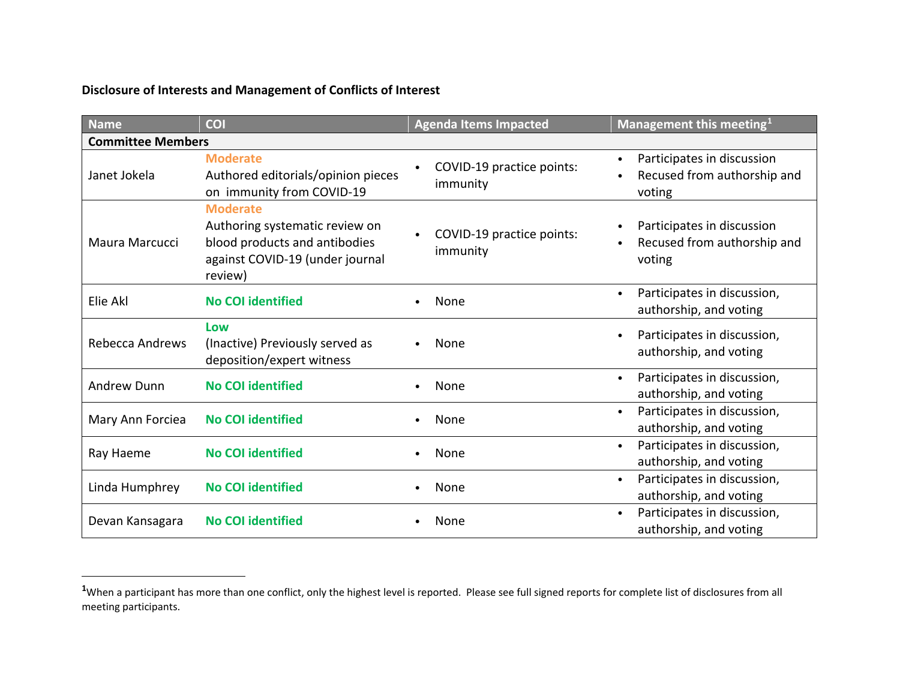## <span id="page-0-0"></span>**Disclosure of Interests and Management of Conflicts of Interest**

| <b>Name</b>              | COI                                                                                                                              | <b>Agenda Items Impacted</b>                       | Management this meeting <sup>1</sup>                                             |  |  |  |
|--------------------------|----------------------------------------------------------------------------------------------------------------------------------|----------------------------------------------------|----------------------------------------------------------------------------------|--|--|--|
| <b>Committee Members</b> |                                                                                                                                  |                                                    |                                                                                  |  |  |  |
| Janet Jokela             | <b>Moderate</b><br>Authored editorials/opinion pieces<br>on immunity from COVID-19                                               | COVID-19 practice points:<br>$\bullet$<br>immunity | Participates in discussion<br>$\bullet$<br>Recused from authorship and<br>voting |  |  |  |
| Maura Marcucci           | <b>Moderate</b><br>Authoring systematic review on<br>blood products and antibodies<br>against COVID-19 (under journal<br>review) | COVID-19 practice points:<br>immunity              | Participates in discussion<br>Recused from authorship and<br>voting              |  |  |  |
| Elie Akl                 | <b>No COI identified</b>                                                                                                         | None                                               | Participates in discussion,<br>authorship, and voting                            |  |  |  |
| Rebecca Andrews          | Low<br>(Inactive) Previously served as<br>deposition/expert witness                                                              | None                                               | Participates in discussion,<br>$\bullet$<br>authorship, and voting               |  |  |  |
| Andrew Dunn              | <b>No COI identified</b>                                                                                                         | None                                               | Participates in discussion,<br>$\bullet$<br>authorship, and voting               |  |  |  |
| Mary Ann Forciea         | <b>No COI identified</b>                                                                                                         | None                                               | Participates in discussion,<br>$\bullet$<br>authorship, and voting               |  |  |  |
| Ray Haeme                | <b>No COI identified</b>                                                                                                         | None                                               | Participates in discussion,<br>$\bullet$<br>authorship, and voting               |  |  |  |
| Linda Humphrey           | <b>No COI identified</b>                                                                                                         | None                                               | Participates in discussion,<br>authorship, and voting                            |  |  |  |
| Devan Kansagara          | <b>No COI identified</b>                                                                                                         | None                                               | Participates in discussion,<br>authorship, and voting                            |  |  |  |

<sup>&</sup>lt;sup>1</sup>When a participant has more than one conflict, only the highest level is reported. Please see full signed reports for complete list of disclosures from all meeting participants.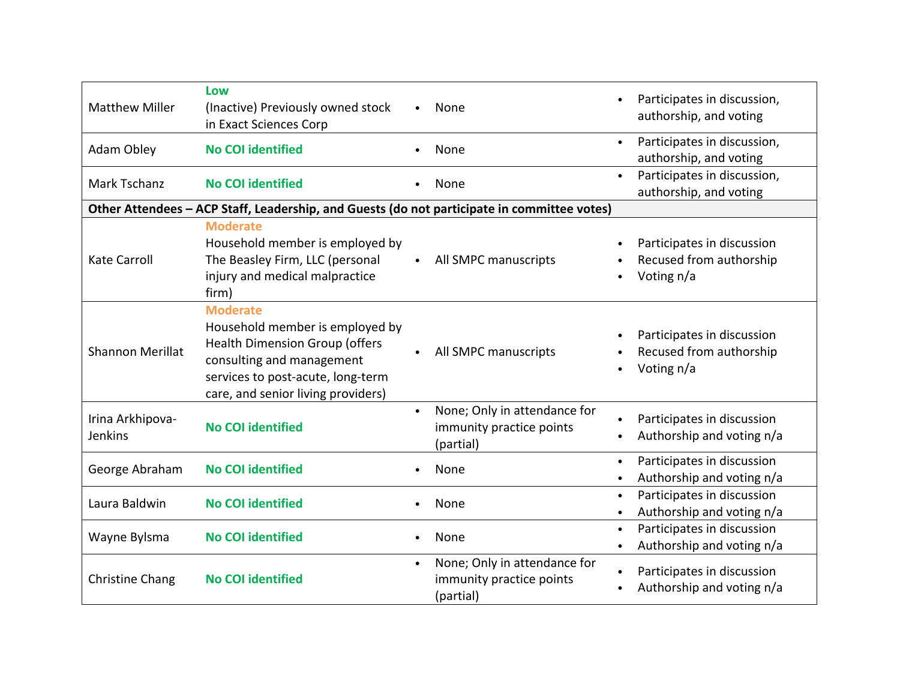| <b>Matthew Miller</b>       | Low<br>(Inactive) Previously owned stock<br>in Exact Sciences Corp                                                                                                                                  |           | None                                                                  | $\bullet$              | Participates in discussion,<br>authorship, and voting               |
|-----------------------------|-----------------------------------------------------------------------------------------------------------------------------------------------------------------------------------------------------|-----------|-----------------------------------------------------------------------|------------------------|---------------------------------------------------------------------|
| Adam Obley                  | <b>No COI identified</b>                                                                                                                                                                            |           | None                                                                  | $\bullet$              | Participates in discussion,<br>authorship, and voting               |
| Mark Tschanz                | <b>No COI identified</b>                                                                                                                                                                            |           | None                                                                  | $\bullet$              | Participates in discussion,<br>authorship, and voting               |
|                             | Other Attendees - ACP Staff, Leadership, and Guests (do not participate in committee votes)                                                                                                         |           |                                                                       |                        |                                                                     |
| <b>Kate Carroll</b>         | <b>Moderate</b><br>Household member is employed by<br>The Beasley Firm, LLC (personal<br>injury and medical malpractice<br>firm)                                                                    |           | All SMPC manuscripts                                                  | $\bullet$              | Participates in discussion<br>Recused from authorship<br>Voting n/a |
| <b>Shannon Merillat</b>     | <b>Moderate</b><br>Household member is employed by<br><b>Health Dimension Group (offers</b><br>consulting and management<br>services to post-acute, long-term<br>care, and senior living providers) |           | All SMPC manuscripts                                                  | $\bullet$              | Participates in discussion<br>Recused from authorship<br>Voting n/a |
| Irina Arkhipova-<br>Jenkins | <b>No COI identified</b>                                                                                                                                                                            | $\bullet$ | None; Only in attendance for<br>immunity practice points<br>(partial) | $\bullet$<br>$\bullet$ | Participates in discussion<br>Authorship and voting n/a             |
| George Abraham              | <b>No COI identified</b>                                                                                                                                                                            |           | None                                                                  | $\bullet$<br>$\bullet$ | Participates in discussion<br>Authorship and voting n/a             |
| Laura Baldwin               | <b>No COI identified</b>                                                                                                                                                                            |           | None                                                                  | $\bullet$<br>$\bullet$ | Participates in discussion<br>Authorship and voting n/a             |
| Wayne Bylsma                | <b>No COI identified</b>                                                                                                                                                                            |           | None                                                                  | $\bullet$<br>$\bullet$ | Participates in discussion<br>Authorship and voting n/a             |
| <b>Christine Chang</b>      | <b>No COI identified</b>                                                                                                                                                                            | $\bullet$ | None; Only in attendance for<br>immunity practice points<br>(partial) | $\bullet$<br>$\bullet$ | Participates in discussion<br>Authorship and voting n/a             |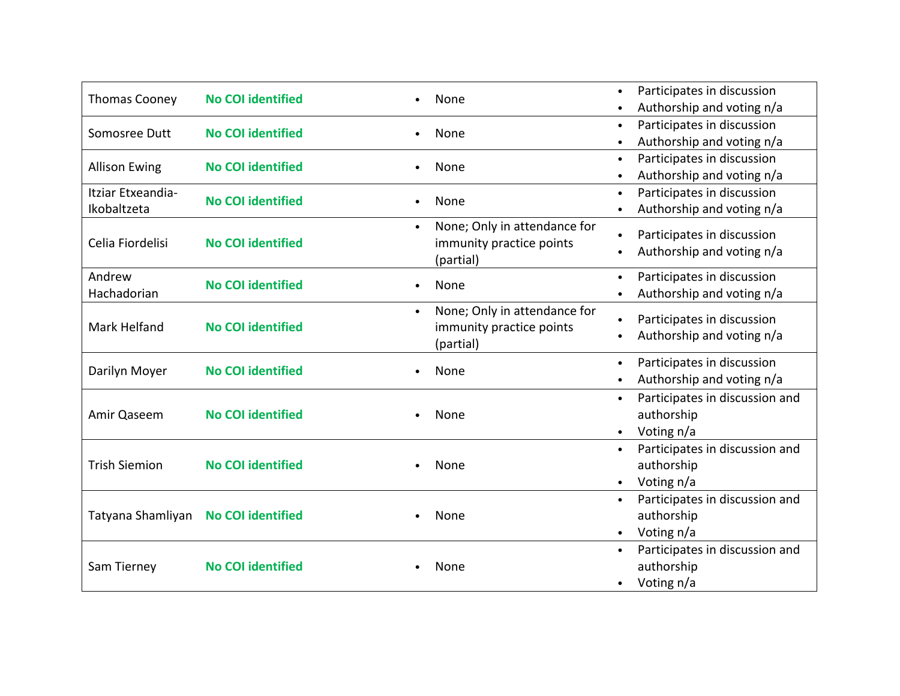| <b>Thomas Cooney</b>             | <b>No COI identified</b> | None                                      | Participates in discussion                  |
|----------------------------------|--------------------------|-------------------------------------------|---------------------------------------------|
|                                  |                          |                                           | Authorship and voting n/a                   |
| Somosree Dutt                    | <b>No COI identified</b> | None                                      | Participates in discussion<br>$\bullet$     |
|                                  |                          |                                           | Authorship and voting n/a                   |
| <b>Allison Ewing</b>             | <b>No COI identified</b> | None                                      | Participates in discussion<br>$\bullet$     |
|                                  |                          |                                           | Authorship and voting n/a                   |
| Itziar Etxeandia-<br>Ikobaltzeta | <b>No COI identified</b> | None                                      | Participates in discussion<br>$\bullet$     |
|                                  |                          |                                           | Authorship and voting n/a                   |
|                                  |                          | None; Only in attendance for              | Participates in discussion                  |
| Celia Fiordelisi                 | <b>No COI identified</b> | immunity practice points                  |                                             |
|                                  |                          | (partial)                                 | Authorship and voting n/a                   |
| Andrew                           | <b>No COI identified</b> |                                           | Participates in discussion<br>$\bullet$     |
| Hachadorian                      |                          | None                                      | Authorship and voting n/a                   |
|                                  | <b>No COI identified</b> | None; Only in attendance for<br>$\bullet$ |                                             |
| Mark Helfand                     |                          | immunity practice points                  | Participates in discussion                  |
|                                  |                          | (partial)                                 | Authorship and voting n/a                   |
|                                  | <b>No COI identified</b> | None                                      | Participates in discussion<br>$\bullet$     |
| Darilyn Moyer                    |                          |                                           | Authorship and voting n/a                   |
| Amir Qaseem                      | <b>No COI identified</b> |                                           | Participates in discussion and<br>$\bullet$ |
|                                  |                          | None                                      | authorship                                  |
|                                  |                          |                                           | Voting n/a<br>$\bullet$                     |
|                                  | <b>No COI identified</b> |                                           | Participates in discussion and<br>$\bullet$ |
| <b>Trish Siemion</b>             |                          | None                                      | authorship                                  |
|                                  |                          |                                           | Voting n/a<br>$\bullet$                     |
| Tatyana Shamliyan                | <b>No COI identified</b> |                                           | Participates in discussion and<br>$\bullet$ |
|                                  |                          | None                                      | authorship                                  |
|                                  |                          |                                           | Voting n/a<br>$\bullet$                     |
| Sam Tierney                      | <b>No COI identified</b> |                                           | Participates in discussion and<br>$\bullet$ |
|                                  |                          | None                                      | authorship                                  |
|                                  |                          |                                           | Voting n/a<br>$\bullet$                     |